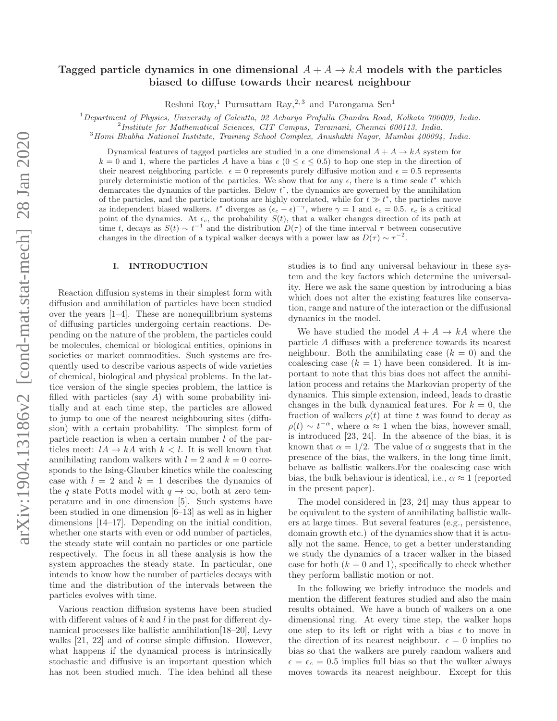# Tagged particle dynamics in one dimensional  $A + A \rightarrow kA$  models with the particles biased to diffuse towards their nearest neighbour

Reshmi Roy,<sup>1</sup> Purusattam Ray,<sup>2,3</sup> and Parongama Sen<sup>1</sup>

 $1$ Department of Physics, University of Calcutta, 92 Acharya Prafulla Chandra Road, Kolkata 700009, India.

2 Institute for Mathematical Sciences, CIT Campus, Taramani, Chennai 600113, India.

<sup>3</sup>Homi Bhabha National Institute, Training School Complex, Anushakti Nagar, Mumbai 400094, India.

Dynamical features of tagged particles are studied in a one dimensional  $A + A \rightarrow kA$  system for  $k = 0$  and 1, where the particles A have a bias  $\epsilon$  ( $0 \leq \epsilon \leq 0.5$ ) to hop one step in the direction of their nearest neighboring particle.  $\epsilon = 0$  represents purely diffusive motion and  $\epsilon = 0.5$  represents purely deterministic motion of the particles. We show that for any  $\epsilon$ , there is a time scale  $\vec{t}^*$  which  $d$  demarcates the dynamics of the particles. Below  $t^*$ , the dynamics are governed by the annihilation of the particles, and the particle motions are highly correlated, while for  $t \gg t^*$ , the particles move as independent biased walkers.  $t^*$  diverges as  $(\epsilon_c - \epsilon)^{-\gamma}$ , where  $\gamma = 1$  and  $\epsilon_c = 0.5$ .  $\epsilon_c$  is a critical point of the dynamics. At  $\epsilon_c$ , the probability  $S(t)$ , that a walker changes direction of its path at time t, decays as  $S(t) \sim t^{-1}$  and the distribution  $D(\tau)$  of the time interval  $\tau$  between consecutive changes in the direction of a typical walker decays with a power law as  $D(\tau) \sim \tau^{-2}$ .

### I. INTRODUCTION

Reaction diffusion systems in their simplest form with diffusion and annihilation of particles have been studied over the years [1–4]. These are nonequilibrium systems of diffusing particles undergoing certain reactions. Depending on the nature of the problem, the particles could be molecules, chemical or biological entities, opinions in societies or market commodities. Such systems are frequently used to describe various aspects of wide varieties of chemical, biological and physical problems. In the lattice version of the single species problem, the lattice is filled with particles (say A) with some probability initially and at each time step, the particles are allowed to jump to one of the nearest neighbouring sites (diffusion) with a certain probability. The simplest form of particle reaction is when a certain number  $l$  of the particles meet:  $lA \rightarrow kA$  with  $k < l$ . It is well known that annihilating random walkers with  $l = 2$  and  $k = 0$  corresponds to the Ising-Glauber kinetics while the coalescing case with  $l = 2$  and  $k = 1$  describes the dynamics of the q state Potts model with  $q \to \infty$ , both at zero temperature and in one dimension [5]. Such systems have been studied in one dimension [6–13] as well as in higher dimensions [14–17]. Depending on the initial condition, whether one starts with even or odd number of particles, the steady state will contain no particles or one particle respectively. The focus in all these analysis is how the system approaches the steady state. In particular, one intends to know how the number of particles decays with time and the distribution of the intervals between the particles evolves with time.

Various reaction diffusion systems have been studied with different values of  $k$  and  $l$  in the past for different dynamical processes like ballistic annihilation[18–20], Levy walks [21, 22] and of course simple diffusion. However, what happens if the dynamical process is intrinsically stochastic and diffusive is an important question which has not been studied much. The idea behind all these studies is to find any universal behaviour in these system and the key factors which determine the universality. Here we ask the same question by introducing a bias which does not alter the existing features like conservation, range and nature of the interaction or the diffusional dynamics in the model.

We have studied the model  $A + A \rightarrow kA$  where the particle A diffuses with a preference towards its nearest neighbour. Both the annihilating case  $(k = 0)$  and the coalescing case  $(k = 1)$  have been considered. It is important to note that this bias does not affect the annihilation process and retains the Markovian property of the dynamics. This simple extension, indeed, leads to drastic changes in the bulk dynamical features. For  $k = 0$ , the fraction of walkers  $\rho(t)$  at time t was found to decay as  $\rho(t) \sim t^{-\alpha}$ , where  $\alpha \approx 1$  when the bias, however small, is introduced [23, 24]. In the absence of the bias, it is known that  $\alpha = 1/2$ . The value of  $\alpha$  suggests that in the presence of the bias, the walkers, in the long time limit, behave as ballistic walkers.For the coalescing case with bias, the bulk behaviour is identical, i.e.,  $\alpha \approx 1$  (reported in the present paper).

The model considered in [23, 24] may thus appear to be equivalent to the system of annihilating ballistic walkers at large times. But several features (e.g., persistence, domain growth etc.) of the dynamics show that it is actually not the same. Hence, to get a better understanding we study the dynamics of a tracer walker in the biased case for both  $(k = 0 \text{ and } 1)$ , specifically to check whether they perform ballistic motion or not.

In the following we briefly introduce the models and mention the different features studied and also the main results obtained. We have a bunch of walkers on a one dimensional ring. At every time step, the walker hops one step to its left or right with a bias  $\epsilon$  to move in the direction of its nearest neighbour.  $\epsilon = 0$  implies no bias so that the walkers are purely random walkers and  $\epsilon = \epsilon_c = 0.5$  implies full bias so that the walker always moves towards its nearest neighbour. Except for this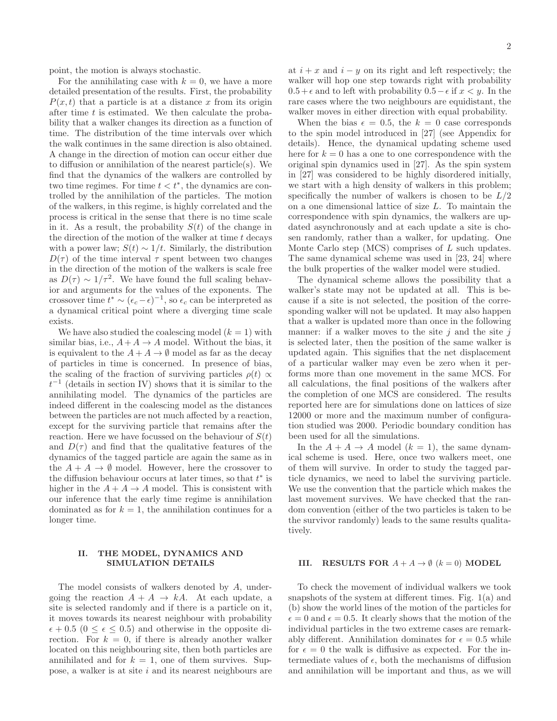point, the motion is always stochastic.

For the annihilating case with  $k = 0$ , we have a more detailed presentation of the results. First, the probability  $P(x, t)$  that a particle is at a distance x from its origin after time t is estimated. We then calculate the probability that a walker changes its direction as a function of time. The distribution of the time intervals over which the walk continues in the same direction is also obtained. A change in the direction of motion can occur either due to diffusion or annihilation of the nearest particle(s). We find that the dynamics of the walkers are controlled by two time regimes. For time  $t < t^*$ , the dynamics are controlled by the annihilation of the particles. The motion of the walkers, in this regime, is highly correlated and the process is critical in the sense that there is no time scale in it. As a result, the probability  $S(t)$  of the change in the direction of the motion of the walker at time  $t$  decays with a power law;  $S(t) \sim 1/t$ . Similarly, the distribution  $D(\tau)$  of the time interval  $\tau$  spent between two changes in the direction of the motion of the walkers is scale free as  $D(\tau) \sim 1/\tau^2$ . We have found the full scaling behavior and arguments for the values of the exponents. The crossover time  $t^* \sim (\epsilon_c - \epsilon)^{-1}$ , so  $\epsilon_c$  can be interpreted as a dynamical critical point where a diverging time scale exists.

We have also studied the coalescing model  $(k = 1)$  with similar bias, i.e.,  $A + A \rightarrow A$  model. Without the bias, it is equivalent to the  $A + A \rightarrow \emptyset$  model as far as the decay of particles in time is concerned. In presence of bias, the scaling of the fraction of surviving particles  $\rho(t) \propto$  $t^{-1}$  (details in section IV) shows that it is similar to the annihilating model. The dynamics of the particles are indeed different in the coalescing model as the distances between the particles are not much affected by a reaction, except for the surviving particle that remains after the reaction. Here we have focussed on the behaviour of  $S(t)$ and  $D(\tau)$  and find that the qualitative features of the dynamics of the tagged particle are again the same as in the  $A + A \rightarrow \emptyset$  model. However, here the crossover to the diffusion behaviour occurs at later times, so that  $t^*$  is higher in the  $A + A \rightarrow A$  model. This is consistent with our inference that the early time regime is annihilation dominated as for  $k = 1$ , the annihilation continues for a longer time.

# II. THE MODEL, DYNAMICS AND SIMULATION DETAILS

The model consists of walkers denoted by A, undergoing the reaction  $A + A \rightarrow kA$ . At each update, a site is selected randomly and if there is a particle on it, it moves towards its nearest neighbour with probability  $\epsilon + 0.5$  ( $0 \leq \epsilon \leq 0.5$ ) and otherwise in the opposite direction. For  $k = 0$ , if there is already another walker located on this neighbouring site, then both particles are annihilated and for  $k = 1$ , one of them survives. Suppose, a walker is at site  $i$  and its nearest neighbours are

at  $i + x$  and  $i - y$  on its right and left respectively; the walker will hop one step towards right with probability  $0.5+\epsilon$  and to left with probability  $0.5-\epsilon$  if  $x < y$ . In the rare cases where the two neighbours are equidistant, the walker moves in either direction with equal probability.

When the bias  $\epsilon = 0.5$ , the  $k = 0$  case corresponds to the spin model introduced in [27] (see Appendix for details). Hence, the dynamical updating scheme used here for  $k = 0$  has a one to one correspondence with the original spin dynamics used in [27]. As the spin system in [27] was considered to be highly disordered initially, we start with a high density of walkers in this problem; specifically the number of walkers is chosen to be  $L/2$ on a one dimensional lattice of size L. To maintain the correspondence with spin dynamics, the walkers are updated asynchronously and at each update a site is chosen randomly, rather than a walker, for updating. One Monte Carlo step (MCS) comprises of L such updates. The same dynamical scheme was used in [23, 24] where the bulk properties of the walker model were studied.

The dynamical scheme allows the possibility that a walker's state may not be updated at all. This is because if a site is not selected, the position of the corresponding walker will not be updated. It may also happen that a walker is updated more than once in the following manner: if a walker moves to the site  $j$  and the site  $j$ is selected later, then the position of the same walker is updated again. This signifies that the net displacement of a particular walker may even be zero when it performs more than one movement in the same MCS. For all calculations, the final positions of the walkers after the completion of one MCS are considered. The results reported here are for simulations done on lattices of size 12000 or more and the maximum number of configuration studied was 2000. Periodic boundary condition has been used for all the simulations.

In the  $A + A \rightarrow A$  model  $(k = 1)$ , the same dynamical scheme is used. Here, once two walkers meet, one of them will survive. In order to study the tagged particle dynamics, we need to label the surviving particle. We use the convention that the particle which makes the last movement survives. We have checked that the random convention (either of the two particles is taken to be the survivor randomly) leads to the same results qualitatively.

#### III. RESULTS FOR  $A + A \rightarrow \emptyset$   $(k = 0)$  MODEL

To check the movement of individual walkers we took snapshots of the system at different times. Fig. 1(a) and (b) show the world lines of the motion of the particles for  $\epsilon = 0$  and  $\epsilon = 0.5$ . It clearly shows that the motion of the individual particles in the two extreme cases are remarkably different. Annihilation dominates for  $\epsilon = 0.5$  while for  $\epsilon = 0$  the walk is diffusive as expected. For the intermediate values of  $\epsilon$ , both the mechanisms of diffusion and annihilation will be important and thus, as we will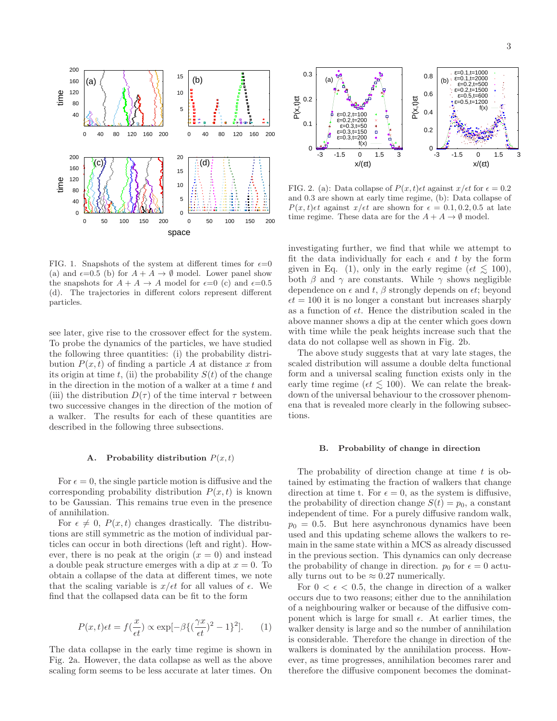

FIG. 1. Snapshots of the system at different times for  $\epsilon = 0$ (a) and  $\epsilon=0.5$  (b) for  $A + A \rightarrow \emptyset$  model. Lower panel show the snapshots for  $A + A \rightarrow A$  model for  $\epsilon = 0$  (c) and  $\epsilon = 0.5$ (d). The trajectories in different colors represent different particles.

see later, give rise to the crossover effect for the system. To probe the dynamics of the particles, we have studied the following three quantities: (i) the probability distribution  $P(x, t)$  of finding a particle A at distance x from its origin at time t, (ii) the probability  $S(t)$  of the change in the direction in the motion of a walker at a time  $t$  and (iii) the distribution  $D(\tau)$  of the time interval  $\tau$  between two successive changes in the direction of the motion of a walker. The results for each of these quantities are described in the following three subsections.

#### A. Probability distribution  $P(x, t)$

For  $\epsilon = 0$ , the single particle motion is diffusive and the corresponding probability distribution  $P(x, t)$  is known to be Gaussian. This remains true even in the presence of annihilation.

For  $\epsilon \neq 0$ ,  $P(x, t)$  changes drastically. The distributions are still symmetric as the motion of individual particles can occur in both directions (left and right). However, there is no peak at the origin  $(x = 0)$  and instead a double peak structure emerges with a dip at  $x = 0$ . To obtain a collapse of the data at different times, we note that the scaling variable is  $x/\epsilon t$  for all values of  $\epsilon$ . We find that the collapsed data can be fit to the form

$$
P(x,t)\epsilon t = f(\frac{x}{\epsilon t}) \propto \exp[-\beta \{(\frac{\gamma x}{\epsilon t})^2 - 1\}^2].
$$
 (1)

The data collapse in the early time regime is shown in Fig. 2a. However, the data collapse as well as the above scaling form seems to be less accurate at later times. On



FIG. 2. (a): Data collapse of  $P(x,t) \in \mathcal{E}$  against  $x/\epsilon t$  for  $\epsilon = 0.2$ and 0.3 are shown at early time regime, (b): Data collapse of  $P(x,t) \in \mathcal{F}$  against  $x/\epsilon t$  are shown for  $\epsilon = 0.1, 0.2, 0.5$  at late time regime. These data are for the  $A + A \rightarrow \emptyset$  model.

investigating further, we find that while we attempt to fit the data individually for each  $\epsilon$  and t by the form given in Eq. (1), only in the early regime ( $\epsilon t \leq 100$ ), both  $\beta$  and  $\gamma$  are constants. While  $\gamma$  shows negligible dependence on  $\epsilon$  and t,  $\beta$  strongly depends on  $\epsilon t$ ; beyond  $\epsilon t = 100$  it is no longer a constant but increases sharply as a function of  $\epsilon t$ . Hence the distribution scaled in the above manner shows a dip at the center which goes down with time while the peak heights increase such that the data do not collapse well as shown in Fig. 2b.

The above study suggests that at vary late stages, the scaled distribution will assume a double delta functional form and a universal scaling function exists only in the early time regime ( $\epsilon t \lesssim 100$ ). We can relate the breakdown of the universal behaviour to the crossover phenomena that is revealed more clearly in the following subsections.

# B. Probability of change in direction

The probability of direction change at time  $t$  is obtained by estimating the fraction of walkers that change direction at time t. For  $\epsilon = 0$ , as the system is diffusive, the probability of direction change  $S(t) = p_0$ , a constant independent of time. For a purely diffusive random walk,  $p_0 = 0.5$ . But here asynchronous dynamics have been used and this updating scheme allows the walkers to remain in the same state within a MCS as already discussed in the previous section. This dynamics can only decrease the probability of change in direction.  $p_0$  for  $\epsilon = 0$  actually turns out to be  $\approx 0.27$  numerically.

For  $0 < \epsilon < 0.5$ , the change in direction of a walker occurs due to two reasons; either due to the annihilation of a neighbouring walker or because of the diffusive component which is large for small  $\epsilon$ . At earlier times, the walker density is large and so the number of annihilation is considerable. Therefore the change in direction of the walkers is dominated by the annihilation process. However, as time progresses, annihilation becomes rarer and therefore the diffusive component becomes the dominat-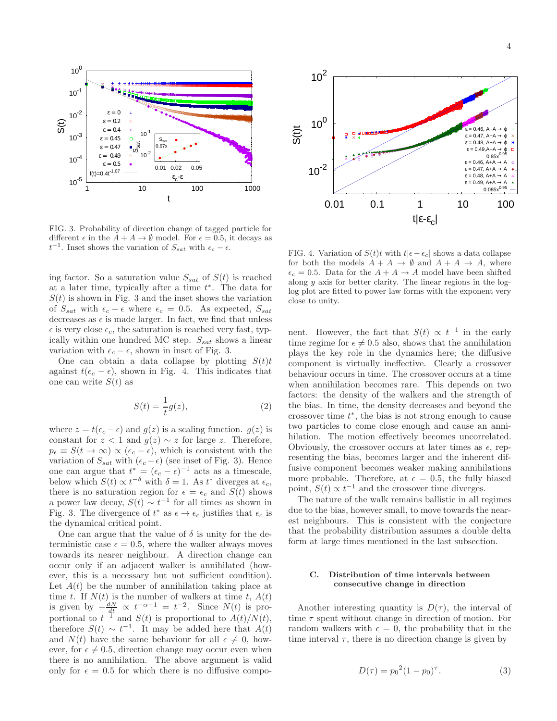

FIG. 3. Probability of direction change of tagged particle for different  $\epsilon$  in the  $A + A \rightarrow \emptyset$  model. For  $\epsilon = 0.5$ , it decays as  $t^{-1}$ . Inset shows the variation of  $S_{sat}$  with  $\epsilon_c - \epsilon$ .

ing factor. So a saturation value  $S_{sat}$  of  $S(t)$  is reached at a later time, typically after a time  $t^*$ . The data for  $S(t)$  is shown in Fig. 3 and the inset shows the variation of  $S_{sat}$  with  $\epsilon_c - \epsilon$  where  $\epsilon_c = 0.5$ . As expected,  $S_{sat}$ decreases as  $\epsilon$  is made larger. In fact, we find that unless  $\epsilon$  is very close  $\epsilon_c$ , the saturation is reached very fast, typically within one hundred MC step.  $S_{sat}$  shows a linear variation with  $\epsilon_c - \epsilon$ , shown in inset of Fig. 3.

One can obtain a data collapse by plotting  $S(t)t$ against  $t(\epsilon_c - \epsilon)$ , shown in Fig. 4. This indicates that one can write  $S(t)$  as

$$
S(t) = \frac{1}{t}g(z),\tag{2}
$$

where  $z = t(\epsilon_c - \epsilon)$  and  $g(z)$  is a scaling function.  $g(z)$  is constant for  $z < 1$  and  $g(z) \sim z$  for large z. Therefore,  $p_{\epsilon} \equiv S(t \to \infty) \propto (\epsilon_c - \epsilon)$ , which is consistent with the variation of  $S_{sat}$  with  $(\epsilon_c - \epsilon)$  (see inset of Fig. 3). Hence one can argue that  $t^* = (\epsilon_c - \epsilon)^{-1}$  acts as a timescale, below which  $S(t) \propto t^{-\delta}$  with  $\delta = 1$ . As  $t^*$  diverges at  $\epsilon_c$ , there is no saturation region for  $\epsilon = \epsilon_c$  and  $S(t)$  shows a power law decay,  $S(t) \sim t^{-1}$  for all times as shown in Fig. 3. The divergence of  $t^*$  as  $\epsilon \to \epsilon_c$  justifies that  $\epsilon_c$  is the dynamical critical point.

One can argue that the value of  $\delta$  is unity for the deterministic case  $\epsilon = 0.5$ , where the walker always moves towards its nearer neighbour. A direction change can occur only if an adjacent walker is annihilated (however, this is a necessary but not sufficient condition). Let  $A(t)$  be the number of annihilation taking place at time t. If  $N(t)$  is the number of walkers at time t,  $A(t)$ is given by  $-\frac{dN}{dt} \propto t^{-\alpha-1} = t^{-2}$ . Since  $N(t)$  is proportional to  $t^{-1}$  and  $S(t)$  is proportional to  $A(t)/N(t)$ , therefore  $S(t) \sim t^{-1}$ . It may be added here that  $A(t)$ and  $N(t)$  have the same behaviour for all  $\epsilon \neq 0$ , however, for  $\epsilon \neq 0.5$ , direction change may occur even when there is no annihilation. The above argument is valid only for  $\epsilon = 0.5$  for which there is no diffusive compo-



FIG. 4. Variation of  $S(t)t$  with  $t|\epsilon-\epsilon_c|$  shows a data collapse for both the models  $A + A \rightarrow \emptyset$  and  $A + A \rightarrow A$ , where  $\epsilon_c = 0.5$ . Data for the  $A + A \rightarrow A$  model have been shifted along  $y$  axis for better clarity. The linear regions in the loglog plot are fitted to power law forms with the exponent very close to unity.

nent. However, the fact that  $S(t) \propto t^{-1}$  in the early time regime for  $\epsilon \neq 0.5$  also, shows that the annihilation plays the key role in the dynamics here; the diffusive component is virtually ineffective. Clearly a crossover behaviour occurs in time. The crossover occurs at a time when annihilation becomes rare. This depends on two factors: the density of the walkers and the strength of the bias. In time, the density decreases and beyond the crossover time  $t^*$ , the bias is not strong enough to cause two particles to come close enough and cause an annihilation. The motion effectively becomes uncorrelated. Obviously, the crossover occurs at later times as  $\epsilon$ , representing the bias, becomes larger and the inherent diffusive component becomes weaker making annihilations more probable. Therefore, at  $\epsilon = 0.5$ , the fully biased point,  $S(t) \propto t^{-1}$  and the crossover time diverges.

The nature of the walk remains ballistic in all regimes due to the bias, however small, to move towards the nearest neighbours. This is consistent with the conjecture that the probability distribution assumes a double delta form at large times mentioned in the last subsection.

# C. Distribution of time intervals between consecutive change in direction

Another interesting quantity is  $D(\tau)$ , the interval of time  $\tau$  spent without change in direction of motion. For random walkers with  $\epsilon = 0$ , the probability that in the time interval  $\tau$ , there is no direction change is given by

$$
D(\tau) = p_0^2 (1 - p_0)^\tau. \tag{3}
$$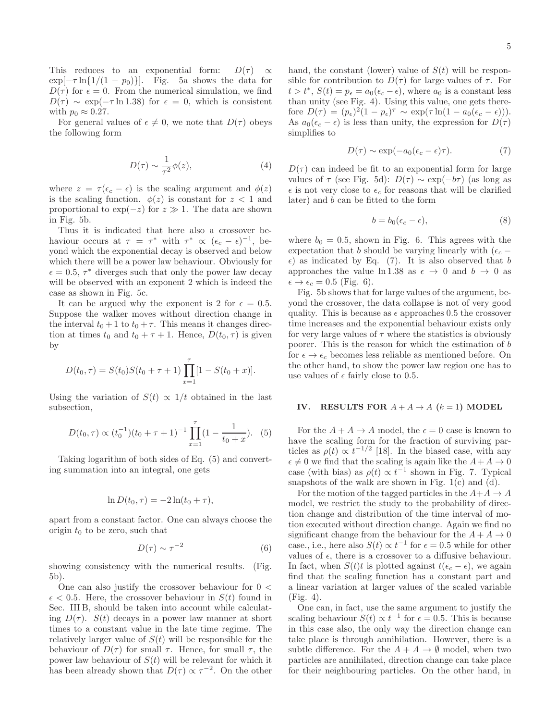This reduces to an exponential form:  $D(\tau) \propto$  $\exp[-\tau \ln\{1/(1 - p_0)\}]$ . Fig. 5a shows the data for  $D(\tau)$  for  $\epsilon = 0$ . From the numerical simulation, we find  $D(\tau) \sim \exp(-\tau \ln 1.38)$  for  $\epsilon = 0$ , which is consistent with  $p_0 \approx 0.27$ .

For general values of  $\epsilon \neq 0$ , we note that  $D(\tau)$  obeys the following form

$$
D(\tau) \sim \frac{1}{\tau^2} \phi(z),\tag{4}
$$

where  $z = \tau(\epsilon_c - \epsilon)$  is the scaling argument and  $\phi(z)$ is the scaling function.  $\phi(z)$  is constant for  $z < 1$  and proportional to  $\exp(-z)$  for  $z \gg 1$ . The data are shown in Fig. 5b.

Thus it is indicated that here also a crossover behaviour occurs at  $\tau = \tau^*$  with  $\tau^* \propto (\epsilon_c - \epsilon)^{-1}$ , beyond which the exponential decay is observed and below which there will be a power law behaviour. Obviously for  $\epsilon = 0.5, \tau^*$  diverges such that only the power law decay will be observed with an exponent 2 which is indeed the case as shown in Fig. 5c.

It can be argued why the exponent is 2 for  $\epsilon = 0.5$ . Suppose the walker moves without direction change in the interval  $t_0 + 1$  to  $t_0 + \tau$ . This means it changes direction at times  $t_0$  and  $t_0 + \tau + 1$ . Hence,  $D(t_0, \tau)$  is given by

$$
D(t_0, \tau) = S(t_0)S(t_0 + \tau + 1) \prod_{x=1}^{\tau} [1 - S(t_0 + x)].
$$

Using the variation of  $S(t) \propto 1/t$  obtained in the last subsection,

$$
D(t_0, \tau) \propto (t_0^{-1})(t_0 + \tau + 1)^{-1} \prod_{x=1}^{\tau} (1 - \frac{1}{t_0 + x}). \quad (5)
$$

Taking logarithm of both sides of Eq. (5) and converting summation into an integral, one gets

$$
\ln D(t_0, \tau) = -2\ln(t_0 + \tau),
$$

apart from a constant factor. One can always choose the origin  $t_0$  to be zero, such that

$$
D(\tau) \sim \tau^{-2} \tag{6}
$$

showing consistency with the numerical results. (Fig. 5b).

One can also justify the crossover behaviour for 0 <  $\epsilon$  < 0.5. Here, the crossover behaviour in  $S(t)$  found in Sec. III B, should be taken into account while calculating  $D(\tau)$ .  $S(t)$  decays in a power law manner at short times to a constant value in the late time regime. The relatively larger value of  $S(t)$  will be responsible for the behaviour of  $D(\tau)$  for small  $\tau$ . Hence, for small  $\tau$ , the power law behaviour of  $S(t)$  will be relevant for which it has been already shown that  $D(\tau) \propto \tau^{-2}$ . On the other

hand, the constant (lower) value of  $S(t)$  will be responsible for contribution to  $D(\tau)$  for large values of  $\tau$ . For  $t > t^*$ ,  $S(t) = p_{\epsilon} = a_0(\epsilon_c - \epsilon)$ , where  $a_0$  is a constant less than unity (see Fig. 4). Using this value, one gets therefore  $D(\tau) = (p_{\epsilon})^2 (1 - p_{\epsilon})^{\tau} \sim \exp(\tau \ln(1 - a_0(\epsilon_c - \epsilon))).$ As  $a_0(\epsilon_c - \epsilon)$  is less than unity, the expression for  $D(\tau)$ simplifies to

$$
D(\tau) \sim \exp(-a_0(\epsilon_c - \epsilon)\tau). \tag{7}
$$

 $D(\tau)$  can indeed be fit to an exponential form for large values of  $\tau$  (see Fig. 5d):  $D(\tau) \sim \exp(-b\tau)$  (as long as  $\epsilon$  is not very close to  $\epsilon_c$  for reasons that will be clarified later) and b can be fitted to the form

$$
b = b_0(\epsilon_c - \epsilon),\tag{8}
$$

where  $b_0 = 0.5$ , shown in Fig. 6. This agrees with the expectation that b should be varying linearly with  $(\epsilon_c \epsilon$ ) as indicated by Eq. (7). It is also observed that b approaches the value ln 1.38 as  $\epsilon \to 0$  and  $b \to 0$  as  $\epsilon \rightarrow \epsilon_c = 0.5$  (Fig. 6).

Fig. 5b shows that for large values of the argument, beyond the crossover, the data collapse is not of very good quality. This is because as  $\epsilon$  approaches 0.5 the crossover time increases and the exponential behaviour exists only for very large values of  $\tau$  where the statistics is obviously poorer. This is the reason for which the estimation of b for  $\epsilon \to \epsilon_c$  becomes less reliable as mentioned before. On the other hand, to show the power law region one has to use values of  $\epsilon$  fairly close to 0.5.

### IV. RESULTS FOR  $A + A \rightarrow A$  ( $k = 1$ ) MODEL

For the  $A + A \rightarrow A$  model, the  $\epsilon = 0$  case is known to have the scaling form for the fraction of surviving particles as  $\rho(t) \propto t^{-1/2}$  [18]. In the biased case, with any  $\epsilon \neq 0$  we find that the scaling is again like the  $A+A \rightarrow 0$ case (with bias) as  $\rho(t) \propto t^{-1}$  shown in Fig. 7. Typical snapshots of the walk are shown in Fig. 1(c) and (d).

For the motion of the tagged particles in the  $A+A \rightarrow A$ model, we restrict the study to the probability of direction change and distribution of the time interval of motion executed without direction change. Again we find no significant change from the behaviour for the  $A + A \rightarrow 0$ case., i.e., here also  $S(t) \propto t^{-1}$  for  $\epsilon = 0.5$  while for other values of  $\epsilon$ , there is a crossover to a diffusive behaviour. In fact, when  $S(t)t$  is plotted against  $t(\epsilon_c - \epsilon)$ , we again find that the scaling function has a constant part and a linear variation at larger values of the scaled variable (Fig. 4).

One can, in fact, use the same argument to justify the scaling behaviour  $S(t) \propto t^{-1}$  for  $\epsilon = 0.5$ . This is because in this case also, the only way the direction change can take place is through annihilation. However, there is a subtle difference. For the  $A + A \rightarrow \emptyset$  model, when two particles are annihilated, direction change can take place for their neighbouring particles. On the other hand, in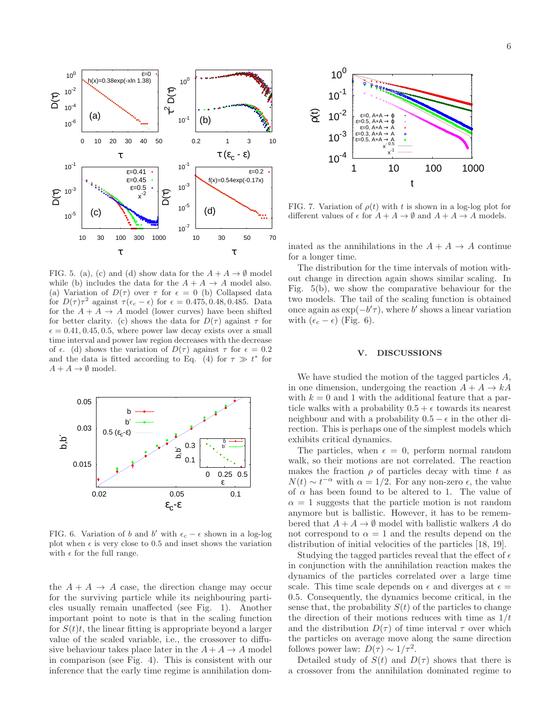

FIG. 5. (a), (c) and (d) show data for the  $A + A \rightarrow \emptyset$  model while (b) includes the data for the  $A + A \rightarrow A$  model also. (a) Variation of  $D(\tau)$  over  $\tau$  for  $\epsilon = 0$  (b) Collapsed data for  $D(\tau)\tau^2$  against  $\tau(\epsilon_c - \epsilon)$  for  $\epsilon = 0.475, 0.48, 0.485$ . Data for the  $A + A \rightarrow A$  model (lower curves) have been shifted for better clarity. (c) shows the data for  $D(\tau)$  against  $\tau$  for  $\epsilon = 0.41, 0.45, 0.5$ , where power law decay exists over a small time interval and power law region decreases with the decrease of  $\epsilon$ . (d) shows the variation of  $D(\tau)$  against  $\tau$  for  $\epsilon = 0.2$ and the data is fitted according to Eq. (4) for  $\tau \gg t^*$  for  $A + A \rightarrow \emptyset$  model.



FIG. 6. Variation of b and b' with  $\epsilon_c - \epsilon$  shown in a log-log plot when  $\epsilon$  is very close to 0.5 and inset shows the variation with  $\epsilon$  for the full range.

the  $A + A \rightarrow A$  case, the direction change may occur for the surviving particle while its neighbouring particles usually remain unaffected (see Fig. 1). Another important point to note is that in the scaling function for  $S(t)t$ , the linear fitting is appropriate beyond a larger value of the scaled variable, i.e., the crossover to diffusive behaviour takes place later in the  $A + A \rightarrow A$  model in comparison (see Fig. 4). This is consistent with our inference that the early time regime is annihilation dom-



FIG. 7. Variation of  $\rho(t)$  with t is shown in a log-log plot for different values of  $\epsilon$  for  $A + A \rightarrow \emptyset$  and  $A + A \rightarrow A$  models.

inated as the annihilations in the  $A + A \rightarrow A$  continue for a longer time.

The distribution for the time intervals of motion without change in direction again shows similar scaling. In Fig. 5(b), we show the comparative behaviour for the two models. The tail of the scaling function is obtained once again as  $\exp(-b'\tau)$ , where b' shows a linear variation with  $(\epsilon_c - \epsilon)$  (Fig. 6).

### V. DISCUSSIONS

We have studied the motion of the tagged particles A, in one dimension, undergoing the reaction  $A + A \rightarrow kA$ with  $k = 0$  and 1 with the additional feature that a particle walks with a probability  $0.5 + \epsilon$  towards its nearest neighbour and with a probability  $0.5 - \epsilon$  in the other direction. This is perhaps one of the simplest models which exhibits critical dynamics.

The particles, when  $\epsilon = 0$ , perform normal random walk, so their motions are not correlated. The reaction makes the fraction  $\rho$  of particles decay with time t as  $N(t) \sim t^{-\alpha}$  with  $\alpha = 1/2$ . For any non-zero  $\epsilon$ , the value of  $\alpha$  has been found to be altered to 1. The value of  $\alpha = 1$  suggests that the particle motion is not random anymore but is ballistic. However, it has to be remembered that  $A + A \rightarrow \emptyset$  model with ballistic walkers A do not correspond to  $\alpha = 1$  and the results depend on the distribution of initial velocities of the particles [18, 19].

Studying the tagged particles reveal that the effect of  $\epsilon$ in conjunction with the annihilation reaction makes the dynamics of the particles correlated over a large time scale. This time scale depends on  $\epsilon$  and diverges at  $\epsilon =$ 0.5. Consequently, the dynamics become critical, in the sense that, the probability  $S(t)$  of the particles to change the direction of their motions reduces with time as  $1/t$ and the distribution  $D(\tau)$  of time interval  $\tau$  over which the particles on average move along the same direction follows power law:  $D(\tau) \sim 1/\tau^2$ .

Detailed study of  $S(t)$  and  $D(\tau)$  shows that there is a crossover from the annihilation dominated regime to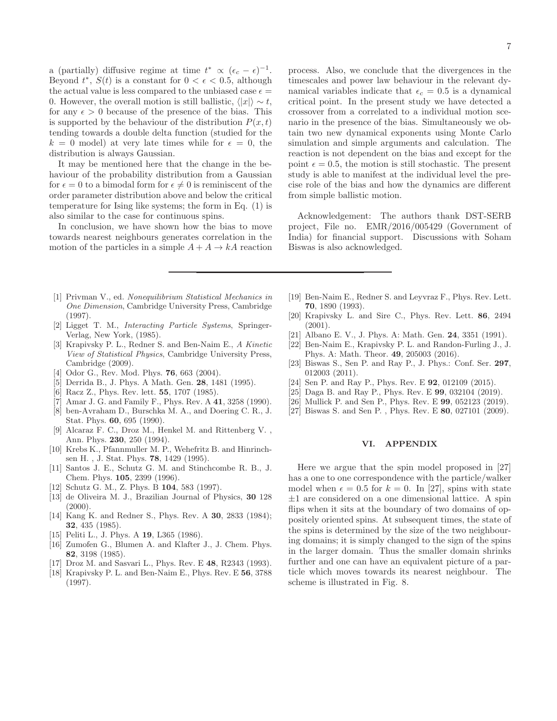a (partially) diffusive regime at time  $t^* \propto (\epsilon_c - \epsilon)^{-1}$ . Beyond  $t^*$ ,  $S(t)$  is a constant for  $0 < \epsilon < 0.5$ , although the actual value is less compared to the unbiased case  $\epsilon =$ 0. However, the overall motion is still ballistic,  $\langle |x|\rangle \sim t$ , for any  $\epsilon > 0$  because of the presence of the bias. This is supported by the behaviour of the distribution  $P(x, t)$ tending towards a double delta function (studied for the  $k = 0$  model) at very late times while for  $\epsilon = 0$ , the distribution is always Gaussian.

It may be mentioned here that the change in the behaviour of the probability distribution from a Gaussian for  $\epsilon = 0$  to a bimodal form for  $\epsilon \neq 0$  is reminiscent of the order parameter distribution above and below the critical temperature for Ising like systems; the form in Eq. (1) is also similar to the case for continuous spins.

In conclusion, we have shown how the bias to move towards nearest neighbours generates correlation in the motion of the particles in a simple  $A + A \rightarrow kA$  reaction

- [1] Privman V., ed. Nonequilibrium Statistical Mechanics in One Dimension, Cambridge University Press, Cambridge (1997).
- [2] Ligget T. M., Interacting Particle Systems, Springer-Verlag, New York, (1985).
- [3] Krapivsky P. L., Redner S. and Ben-Naim E., A Kinetic View of Statistical Physics, Cambridge University Press, Cambridge (2009).
- [4] Odor G., Rev. Mod. Phys. 76, 663 (2004).
- [5] Derrida B., J. Phys. A Math. Gen. 28, 1481 (1995).
- [6] Racz Z., Phys. Rev. lett. **55**, 1707 (1985).
- [7] Amar J. G. and Family F., Phys. Rev. A 41, 3258 (1990).
- [8] ben-Avraham D., Burschka M. A., and Doering C. R., J. Stat. Phys. 60, 695 (1990).
- [9] Alcaraz F. C., Droz M., Henkel M. and Rittenberg V. , Ann. Phys. 230, 250 (1994).
- [10] Krebs K., Pfannmuller M. P., Wehefritz B. and Hinrinchsen H. , J. Stat. Phys. 78, 1429 (1995).
- [11] Santos J. E., Schutz G. M. and Stinchcombe R. B., J. Chem. Phys. 105, 2399 (1996).
- [12] Schutz G. M., Z. Phys. B 104, 583 (1997).
- [13] de Oliveira M. J., Brazilian Journal of Physics, 30 128  $(2000).$
- [14] Kang K. and Redner S., Phys. Rev. A 30, 2833 (1984); 32, 435 (1985).
- [15] Peliti L., J. Phys. A 19, L365 (1986).
- [16] Zumofen G., Blumen A. and Klafter J., J. Chem. Phys. 82, 3198 (1985).
- [17] Droz M. and Sasvari L., Phys. Rev. E 48, R2343 (1993).
- [18] Krapivsky P. L. and Ben-Naim E., Phys. Rev. E 56, 3788 (1997).

process. Also, we conclude that the divergences in the timescales and power law behaviour in the relevant dynamical variables indicate that  $\epsilon_c = 0.5$  is a dynamical critical point. In the present study we have detected a crossover from a correlated to a individual motion scenario in the presence of the bias. Simultaneously we obtain two new dynamical exponents using Monte Carlo simulation and simple arguments and calculation. The reaction is not dependent on the bias and except for the point  $\epsilon = 0.5$ , the motion is still stochastic. The present study is able to manifest at the individual level the precise role of the bias and how the dynamics are different from simple ballistic motion.

Acknowledgement: The authors thank DST-SERB project, File no. EMR/2016/005429 (Government of India) for financial support. Discussions with Soham Biswas is also acknowledged.

- [19] Ben-Naim E., Redner S. and Leyvraz F., Phys. Rev. Lett. 70, 1890 (1993).
- [20] Krapivsky L. and Sire C., Phys. Rev. Lett. 86, 2494 (2001).
- [21] Albano E. V., J. Phys. A: Math. Gen. 24, 3351 (1991).
- [22] Ben-Naim E., Krapivsky P. L. and Randon-Furling J., J. Phys. A: Math. Theor. 49, 205003 (2016).
- [23] Biswas S., Sen P. and Ray P., J. Phys.: Conf. Ser. 297, 012003 (2011).
- [24] Sen P. and Ray P., Phys. Rev. E **92**, 012109 (2015).
- [25] Daga B. and Ray P., Phys. Rev. E **99**, 032104 (2019).
- [26] Mullick P. and Sen P., Phys. Rev. E 99, 052123 (2019).
- [27] Biswas S. and Sen P., Phys. Rev. E 80, 027101 (2009).

## VI. APPENDIX

Here we argue that the spin model proposed in [27] has a one to one correspondence with the particle/walker model when  $\epsilon = 0.5$  for  $k = 0$ . In [27], spins with state  $\pm 1$  are considered on a one dimensional lattice. A spin flips when it sits at the boundary of two domains of oppositely oriented spins. At subsequent times, the state of the spins is determined by the size of the two neighbouring domains; it is simply changed to the sign of the spins in the larger domain. Thus the smaller domain shrinks further and one can have an equivalent picture of a particle which moves towards its nearest neighbour. The scheme is illustrated in Fig. 8.